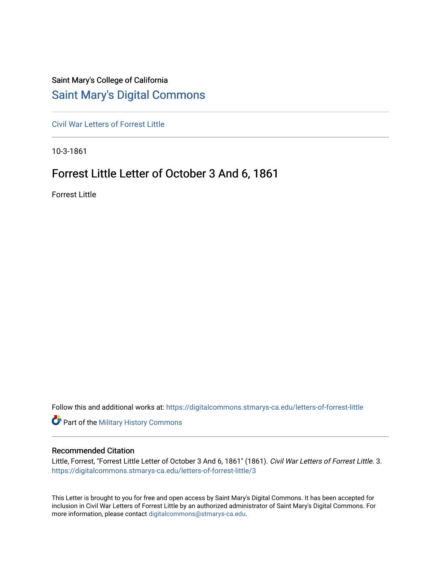## Saint Mary's College of California [Saint Mary's Digital Commons](https://digitalcommons.stmarys-ca.edu/)

[Civil War Letters of Forrest Little](https://digitalcommons.stmarys-ca.edu/letters-of-forrest-little) 

10-3-1861

## Forrest Little Letter of October 3 And 6, 1861

Forrest Little

Follow this and additional works at: [https://digitalcommons.stmarys-ca.edu/letters-of-forrest-little](https://digitalcommons.stmarys-ca.edu/letters-of-forrest-little?utm_source=digitalcommons.stmarys-ca.edu%2Fletters-of-forrest-little%2F3&utm_medium=PDF&utm_campaign=PDFCoverPages) 

**Part of the Military History Commons** 

## Recommended Citation

Little, Forrest, "Forrest Little Letter of October 3 And 6, 1861" (1861). Civil War Letters of Forrest Little. 3. [https://digitalcommons.stmarys-ca.edu/letters-of-forrest-little/3](https://digitalcommons.stmarys-ca.edu/letters-of-forrest-little/3?utm_source=digitalcommons.stmarys-ca.edu%2Fletters-of-forrest-little%2F3&utm_medium=PDF&utm_campaign=PDFCoverPages) 

This Letter is brought to you for free and open access by Saint Mary's Digital Commons. It has been accepted for inclusion in Civil War Letters of Forrest Little by an authorized administrator of Saint Mary's Digital Commons. For more information, please contact [digitalcommons@stmarys-ca.edu](mailto:digitalcommons@stmarys-ca.edu).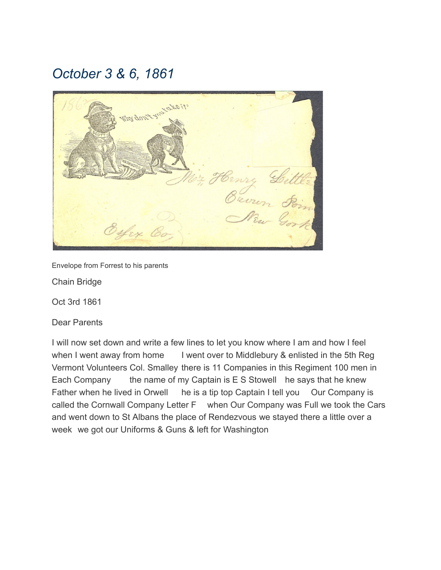## *October 3 & 6, 1861*



Envelope from Forrest to his parents

Chain Bridge

Oct 3rd 1861

Dear Parents

I will now set down and write a few lines to let you know where I am and how I feel when I went away from home I went over to Middlebury & enlisted in the 5th Reg Vermont Volunteers Col. Smalley there is 11 Companies in this Regiment 100 men in Each Company the name of my Captain is E S Stowell he says that he knew Father when he lived in Orwell he is a tip top Captain I tell you Our Company is called the Cornwall Company Letter F when Our Company was Full we took the Cars and went down to St Albans the place of Rendezvous we stayed there a little over a week we got our Uniforms & Guns & left for Washington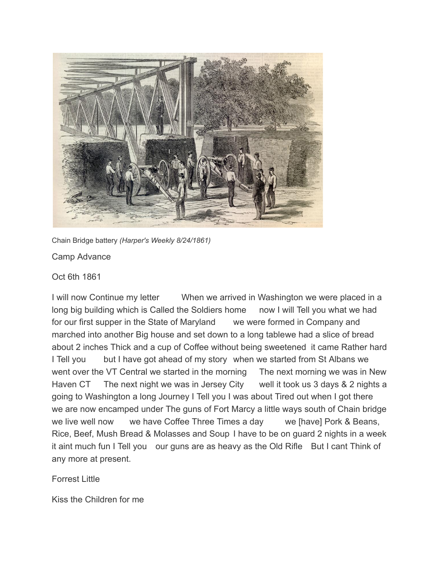

Chain Bridge battery *(Harper's Weekly 8/24/1861)*

Camp Advance

Oct 6th 1861

I will now Continue my letter When we arrived in Washington we were placed in a long big building which is Called the Soldiers home now I will Tell you what we had for our first supper in the State of Maryland we were formed in Company and marched into another Big house and set down to a long tablewe had a slice of bread about 2 inches Thick and a cup of Coffee without being sweetened it came Rather hard I Tell you but I have got ahead of my story when we started from St Albans we went over the VT Central we started in the morning The next morning we was in New Haven CT The next night we was in Jersey City well it took us 3 days & 2 nights a going to Washington a long Journey I Tell you I was about Tired out when I got there we are now encamped under The guns of Fort Marcy a little ways south of Chain bridge we live well now we have Coffee Three Times a day we [have] Pork & Beans, Rice, Beef, Mush Bread & Molasses and Soup I have to be on guard 2 nights in a week it aint much fun I Tell you our guns are as heavy as the Old Rifle But I cant Think of any more at present.

Forrest Little

Kiss the Children for me